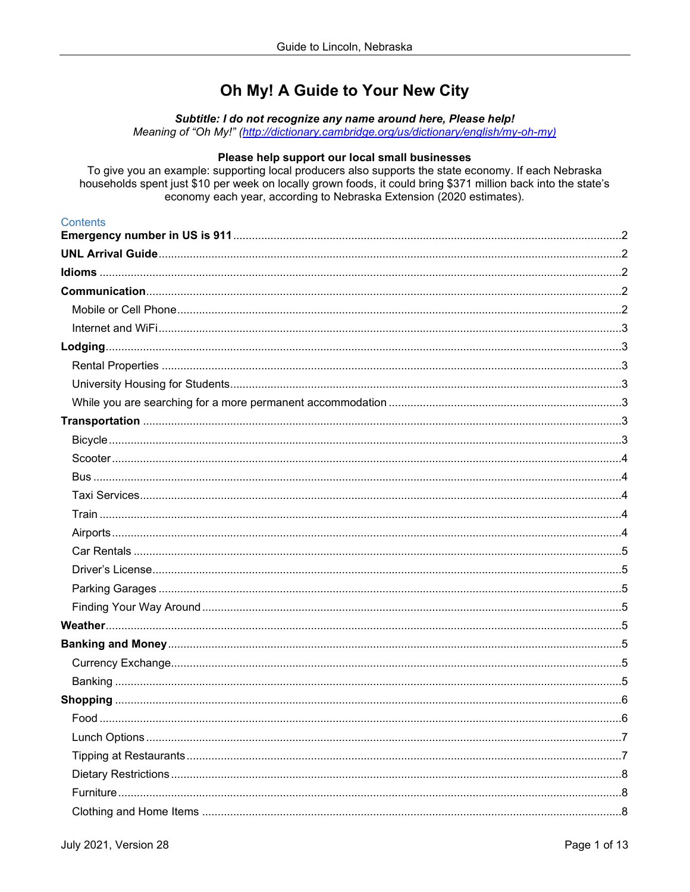# Oh My! A Guide to Your New City

Subtitle: I do not recognize any name around here, Please help!

Meaning of "Oh My!" (http://dictionary.cambridge.org/us/dictionary/english/my-oh-my)

# Please help support our local small businesses

To give you an example: supporting local producers also supports the state economy. If each Nebraska households spent just \$10 per week on locally grown foods, it could bring \$371 million back into the state's economy each year, according to Nebraska Extension (2020 estimates).

# **Contents**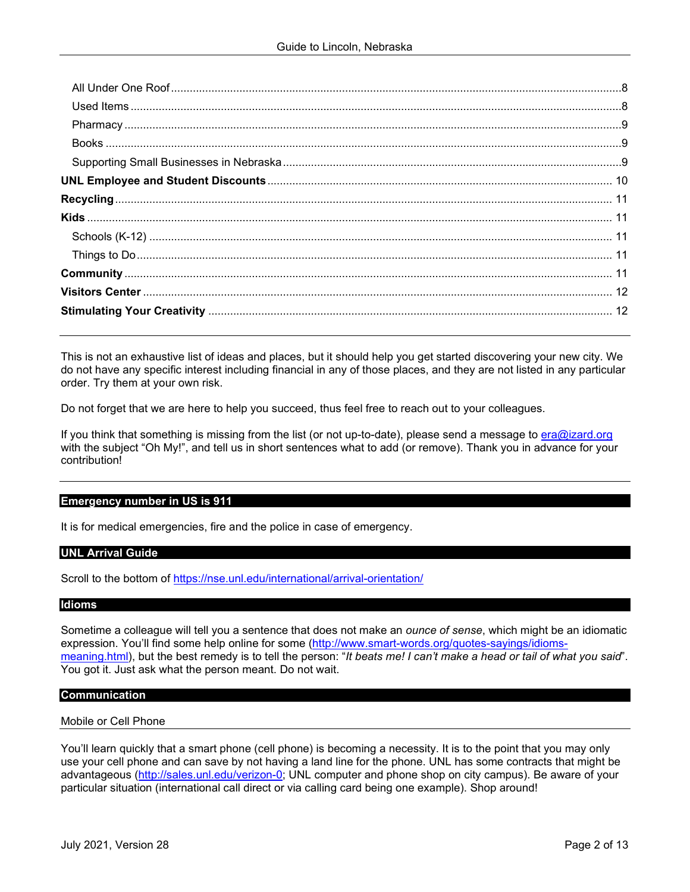This is not an exhaustive list of ideas and places, but it should help you get started discovering your new city. We do not have any specific interest including financial in any of those places, and they are not listed in any particular order. Try them at your own risk.

Do not forget that we are here to help you succeed, thus feel free to reach out to your colleagues.

If you think that something is missing from the list (or not up-to-date), please send a message to [era@izard.org](mailto:era@izard.org) with the subject "Oh My!", and tell us in short sentences what to add (or remove). Thank you in advance for your contribution!

## <span id="page-1-0"></span>**Emergency number in US is 911**

It is for medical emergencies, fire and the police in case of emergency.

## <span id="page-1-1"></span>**UNL Arrival Guide**

Scroll to the bottom of<https://nse.unl.edu/international/arrival-orientation/>

## <span id="page-1-2"></span>**Idioms**

Sometime a colleague will tell you a sentence that does not make an *ounce of sense*, which might be an idiomatic expression. You'll find some help online for some [\(http://www.smart-words.org/quotes-sayings/idioms](http://www.smart-words.org/quotes-sayings/idioms-meaning.html)[meaning.html\)](http://www.smart-words.org/quotes-sayings/idioms-meaning.html), but the best remedy is to tell the person: "*It beats me! I can't make a head or tail of what you said*". You got it. Just ask what the person meant. Do not wait.

## <span id="page-1-3"></span>**Communication**

## <span id="page-1-4"></span>Mobile or Cell Phone

You'll learn quickly that a smart phone (cell phone) is becoming a necessity. It is to the point that you may only use your cell phone and can save by not having a land line for the phone. UNL has some contracts that might be advantageous [\(http://sales.unl.edu/verizon-0;](http://sales.unl.edu/verizon-0) UNL computer and phone shop on city campus). Be aware of your particular situation (international call direct or via calling card being one example). Shop around!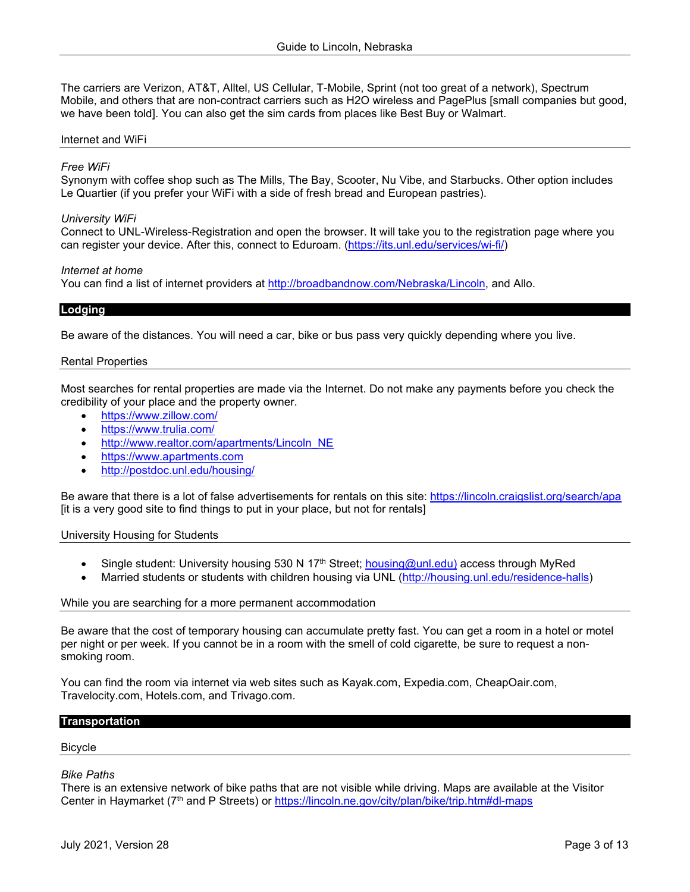The carriers are Verizon, AT&T, Alltel, US Cellular, T-Mobile, Sprint (not too great of a network), Spectrum Mobile, and others that are non-contract carriers such as H2O wireless and PagePlus [small companies but good, we have been told]. You can also get the sim cards from places like Best Buy or Walmart.

## <span id="page-2-0"></span>Internet and WiFi

## *Free WiFi*

Synonym with coffee shop such as The Mills, The Bay, Scooter, Nu Vibe, and Starbucks. Other option includes Le Quartier (if you prefer your WiFi with a side of fresh bread and European pastries).

## *University WiFi*

Connect to UNL-Wireless-Registration and open the browser. It will take you to the registration page where you can register your device. After this, connect to Eduroam. [\(https://its.unl.edu/services/wi-fi/\)](https://its.unl.edu/services/wi-fi/)

#### *Internet at home*

You can find a list of internet providers at [http://broadbandnow.com/Nebraska/Lincoln,](http://broadbandnow.com/Nebraska/Lincoln) and Allo.

## <span id="page-2-1"></span>**Lodging**

Be aware of the distances. You will need a car, bike or bus pass very quickly depending where you live.

#### <span id="page-2-2"></span>Rental Properties

Most searches for rental properties are made via the Internet. Do not make any payments before you check the credibility of your place and the property owner.

- <https://www.zillow.com/>
- <https://www.trulia.com/>
- [http://www.realtor.com/apartments/Lincoln\\_NE](http://www.realtor.com/apartments/Lincoln_NE)
- [https://www.apartments.com](https://www.apartments.com/)
- <http://postdoc.unl.edu/housing/>

Be aware that there is a lot of false advertisements for rentals on this site:<https://lincoln.craigslist.org/search/apa> [it is a very good site to find things to put in your place, but not for rentals]

<span id="page-2-3"></span>University Housing for Students

- Single student: University housing 530 N 17<sup>th</sup> Street; **housing@unl.edu**) access through MyRed
- Married students or students with children housing via UNL [\(http://housing.unl.edu/residence-halls\)](http://housing.unl.edu/residence-halls)

#### <span id="page-2-4"></span>While you are searching for a more permanent accommodation

Be aware that the cost of temporary housing can accumulate pretty fast. You can get a room in a hotel or motel per night or per week. If you cannot be in a room with the smell of cold cigarette, be sure to request a nonsmoking room.

You can find the room via internet via web sites such as Kayak.com, Expedia.com, CheapOair.com, Travelocity.com, Hotels.com, and Trivago.com.

#### <span id="page-2-5"></span>**Transportation**

#### <span id="page-2-6"></span>Bicycle

## *Bike Paths*

There is an extensive network of bike paths that are not visible while driving. Maps are available at the Visitor Center in Haymarket (7th and P Streets) or<https://lincoln.ne.gov/city/plan/bike/trip.htm#dl-maps>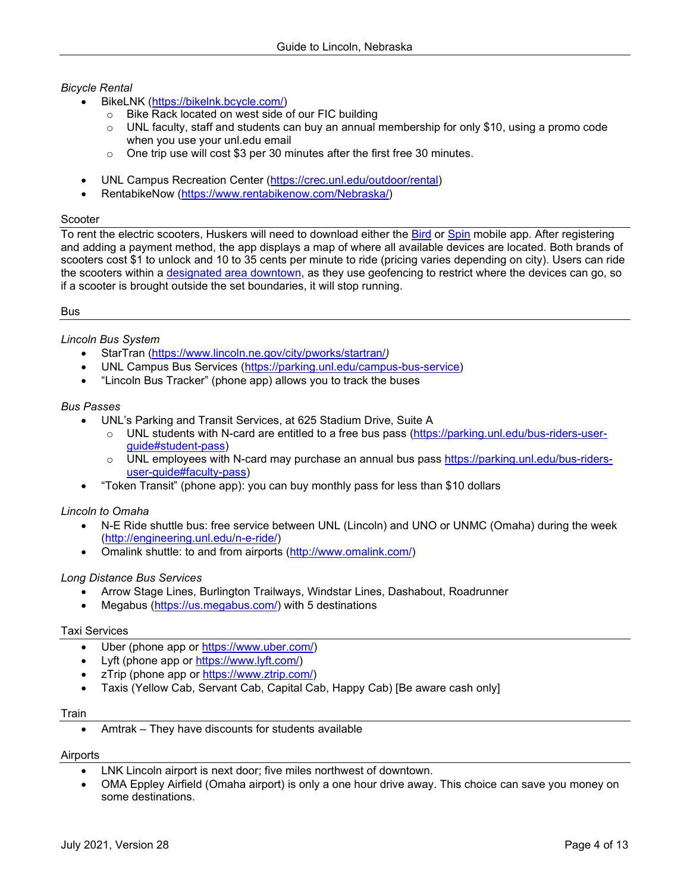# *Bicycle Rental*

- BikeLNK [\(https://bikelnk.bcycle.com/\)](https://bikelnk.bcycle.com/)
	- $\circ$  Bike Rack located on west side of our FIC building<br> $\circ$  UNL faculty, staff and students can buy an annual
	- UNL faculty, staff and students can buy an annual membership for only \$10, using a promo code when you use your unl.edu email
	- o One trip use will cost \$3 per 30 minutes after the first free 30 minutes.
- UNL Campus Recreation Center [\(https://crec.unl.edu/outdoor/rental\)](https://crec.unl.edu/outdoor/rental)
- RentabikeNow [\(https://www.rentabikenow.com/Nebraska/\)](https://www.rentabikenow.com/Nebraska/)

## <span id="page-3-0"></span>Scooter

To rent the electric scooters, Huskers will need to download either the [Bird](https://www.bird.co/) or [Spin](https://www.spin.app/) mobile app. After registering and adding a payment method, the app displays a map of where all available devices are located. Both brands of scooters cost \$1 to unlock and 10 to 35 cents per minute to ride (pricing varies depending on city). Users can ride the scooters within a [designated area downtown,](https://lincoln.ne.gov/city/ltu/engine/traffic/active-transportation/pdf/pilot-program-area.pdf) as they use geofencing to restrict where the devices can go, so if a scooter is brought outside the set boundaries, it will stop running.

## <span id="page-3-1"></span>Bus

# *Lincoln Bus System*

- StarTran [\(https://www.lincoln.ne.gov/city/pworks/startran/](https://www.lincoln.ne.gov/city/pworks/startran/)*)*
- UNL Campus Bus Services [\(https://parking.unl.edu/campus-bus-service\)](https://parking.unl.edu/campus-bus-service)
- "Lincoln Bus Tracker" (phone app) allows you to track the buses

## *Bus Passes*

- UNL's Parking and Transit Services, at 625 Stadium Drive, Suite A
	- o UNL students with N-card are entitled to a free bus pass [\(https://parking.unl.edu/bus-riders-user](https://parking.unl.edu/bus-riders-user-guide#student-pass)[guide#student-pass\)](https://parking.unl.edu/bus-riders-user-guide#student-pass)
	- o UNL employees with N-card may purchase an annual bus pass [https://parking.unl.edu/bus-riders](https://parking.unl.edu/bus-riders-user-guide#faculty-pass)[user-guide#faculty-pass\)](https://parking.unl.edu/bus-riders-user-guide#faculty-pass)
- "Token Transit" (phone app): you can buy monthly pass for less than \$10 dollars

# *Lincoln to Omaha*

- N-E Ride shuttle bus: free service between UNL (Lincoln) and UNO or UNMC (Omaha) during the week [\(http://engineering.unl.edu/n-e-ride/\)](http://engineering.unl.edu/n-e-ride/)
- Omalink shuttle: to and from airports [\(http://www.omalink.com/\)](http://www.omalink.com/)

## *Long Distance Bus Services*

- Arrow Stage Lines, Burlington Trailways, Windstar Lines, Dashabout, Roadrunner
- Megabus [\(https://us.megabus.com/\)](https://us.megabus.com/) with 5 destinations

## <span id="page-3-2"></span>Taxi Services

- Uber (phone app or [https://www.uber.com/\)](https://www.uber.com/)
- Lyft (phone app or [https://www.lyft.com/\)](https://www.lyft.com/)
- zTrip (phone app or [https://www.ztrip.com/\)](https://www.ztrip.com/)
- Taxis (Yellow Cab, Servant Cab, Capital Cab, Happy Cab) [Be aware cash only]

## <span id="page-3-3"></span>**Train**

• Amtrak – They have discounts for students available

## <span id="page-3-4"></span>Airports

- LNK Lincoln airport is next door; five miles northwest of downtown.
- OMA Eppley Airfield (Omaha airport) is only a one hour drive away. This choice can save you money on some destinations.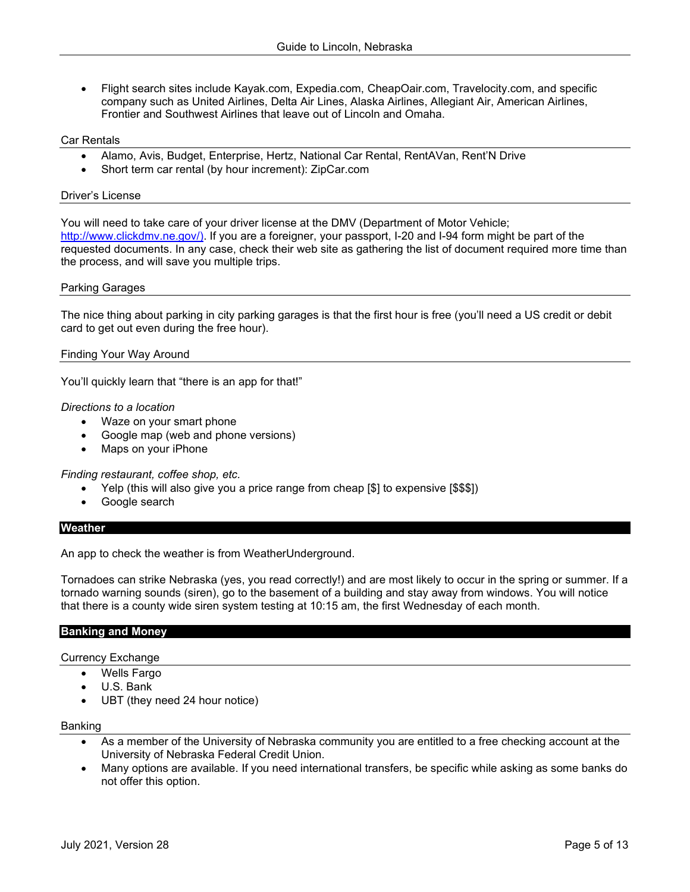• Flight search sites include Kayak.com, Expedia.com, CheapOair.com, Travelocity.com, and specific company such as United Airlines, Delta Air Lines, Alaska Airlines, Allegiant Air, American Airlines, Frontier and Southwest Airlines that leave out of Lincoln and Omaha.

## <span id="page-4-0"></span>Car Rentals

- Alamo, Avis, Budget, Enterprise, Hertz, National Car Rental, RentAVan, Rent'N Drive
- Short term car rental (by hour increment): ZipCar.com

## <span id="page-4-1"></span>Driver's License

You will need to take care of your driver license at the DMV (Department of Motor Vehicle; [http://www.clickdmv.ne.gov/\).](http://www.clickdmv.ne.gov/)) If you are a foreigner, your passport, I-20 and I-94 form might be part of the requested documents. In any case, check their web site as gathering the list of document required more time than the process, and will save you multiple trips.

#### <span id="page-4-2"></span>Parking Garages

The nice thing about parking in city parking garages is that the first hour is free (you'll need a US credit or debit card to get out even during the free hour).

## <span id="page-4-3"></span>Finding Your Way Around

You'll quickly learn that "there is an app for that!"

#### *Directions to a location*

- Waze on your smart phone
- Google map (web and phone versions)
- Maps on your iPhone

*Finding restaurant, coffee shop, etc.*

- Yelp (this will also give you a price range from cheap [\$] to expensive [\$\$\$])
- Google search

#### <span id="page-4-4"></span>**Weather**

An app to check the weather is from WeatherUnderground.

Tornadoes can strike Nebraska (yes, you read correctly!) and are most likely to occur in the spring or summer. If a tornado warning sounds (siren), go to the basement of a building and stay away from windows. You will notice that there is a county wide siren system testing at 10:15 am, the first Wednesday of each month.

#### <span id="page-4-5"></span>**Banking and Money**

<span id="page-4-6"></span>Currency Exchange

- Wells Fargo
- U.S. Bank
- UBT (they need 24 hour notice)

#### <span id="page-4-7"></span>Banking

- As a member of the University of Nebraska community you are entitled to a free checking account at the University of Nebraska Federal Credit Union.
- Many options are available. If you need international transfers, be specific while asking as some banks do not offer this option.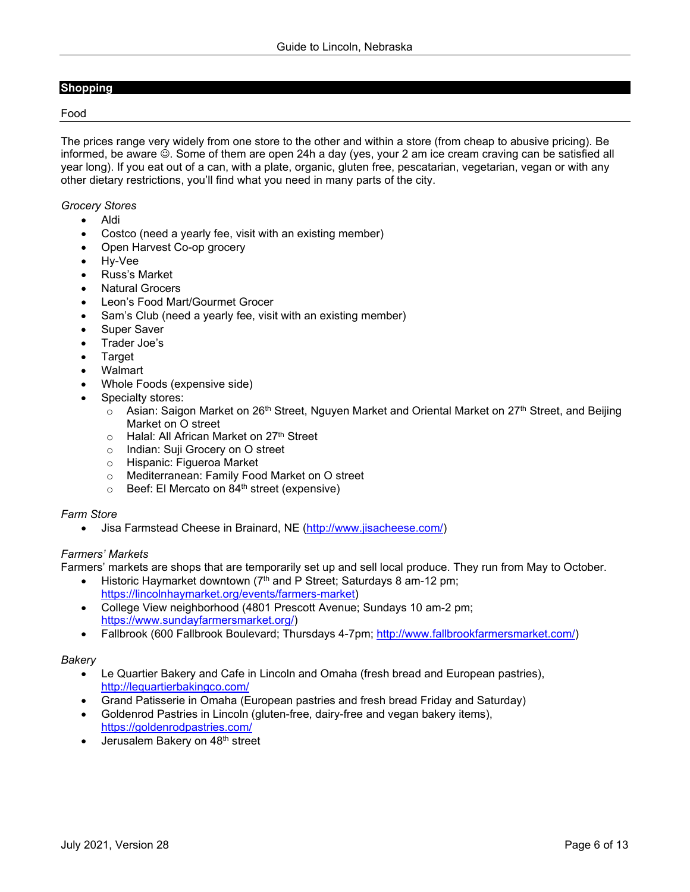## <span id="page-5-0"></span>**Shopping**

#### <span id="page-5-1"></span>Food

The prices range very widely from one store to the other and within a store (from cheap to abusive pricing). Be informed, be aware  $\circledcirc$ . Some of them are open 24h a day (yes, your 2 am ice cream craving can be satisfied all year long). If you eat out of a can, with a plate, organic, gluten free, pescatarian, vegetarian, vegan or with any other dietary restrictions, you'll find what you need in many parts of the city.

#### *Grocery Stores*

- Aldi
- Costco (need a yearly fee, visit with an existing member)
- Open Harvest Co-op grocery
- Hy-Vee
- Russ's Market
- Natural Grocers
- Leon's Food Mart/Gourmet Grocer
- Sam's Club (need a yearly fee, visit with an existing member)
- Super Saver
- Trader Joe's
- **Target**
- Walmart
- Whole Foods (expensive side)
- Specialty stores:
	- $\circ$  Asian: Saigon Market on 26<sup>th</sup> Street, Nguyen Market and Oriental Market on 27<sup>th</sup> Street, and Beijing Market on O street
	- $\circ$  Halal: All African Market on 27<sup>th</sup> Street
	- o Indian: Suji Grocery on O street
	- o Hispanic: Figueroa Market<br>○ Mediterranean: Family Foo
	- Mediterranean: Family Food Market on O street
	- o Beef: El Mercato on 84th street (expensive)

## *Farm Store*

• Jisa Farmstead Cheese in Brainard, NE [\(http://www.jisacheese.com/\)](http://www.jisacheese.com/)

## *Farmers' Markets*

Farmers' markets are shops that are temporarily set up and sell local produce. They run from May to October.

- Historic Haymarket downtown (7<sup>th</sup> and P Street; Saturdays 8 am-12 pm; [https://lincolnhaymarket.org/events/farmers-market\)](https://lincolnhaymarket.org/events/farmers-market)
- College View neighborhood (4801 Prescott Avenue; Sundays 10 am-2 pm; [https://www.sundayfarmersmarket.org/\)](https://www.sundayfarmersmarket.org/)
- Fallbrook (600 Fallbrook Boulevard; Thursdays 4-7pm; [http://www.fallbrookfarmersmarket.com/\)](http://www.fallbrookfarmersmarket.com/)

## *Bakery*

- Le Quartier Bakery and Cafe in Lincoln and Omaha (fresh bread and European pastries), <http://lequartierbakingco.com/>
- Grand Patisserie in Omaha (European pastries and fresh bread Friday and Saturday)
- Goldenrod Pastries in Lincoln (gluten-free, dairy-free and vegan bakery items), <https://goldenrodpastries.com/>
- Jerusalem Bakery on 48<sup>th</sup> street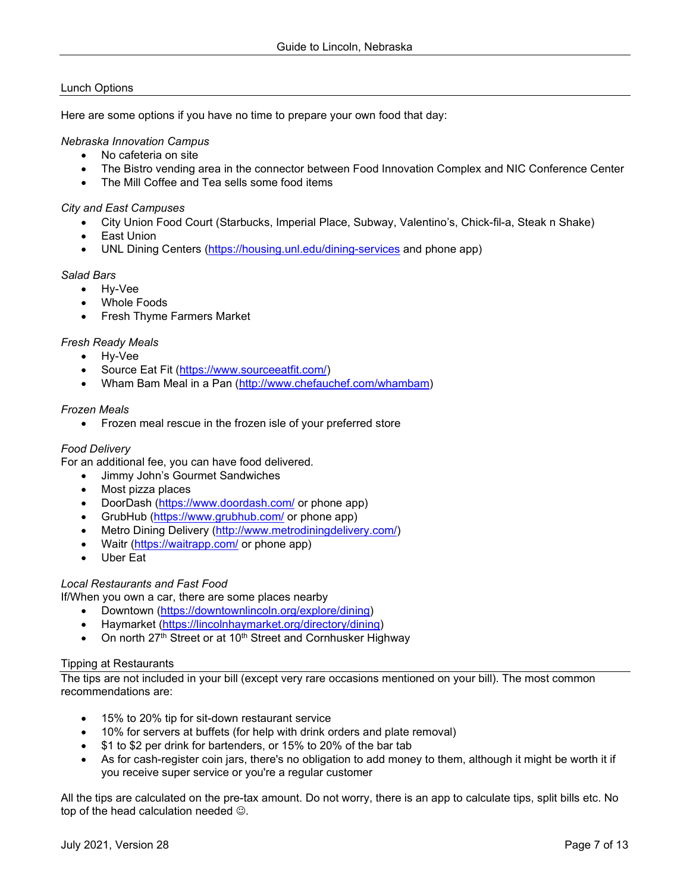# <span id="page-6-0"></span>Lunch Options

Here are some options if you have no time to prepare your own food that day:

## *Nebraska Innovation Campus*

- No cafeteria on site
- The Bistro vending area in the connector between Food Innovation Complex and NIC Conference Center
- The Mill Coffee and Tea sells some food items

## *City and East Campuses*

- City Union Food Court (Starbucks, Imperial Place, Subway, Valentino's, Chick-fil-a, Steak n Shake)
- East Union
- UNL Dining Centers [\(https://housing.unl.edu/dining-services](https://housing.unl.edu/dining-services) and phone app)

## *Salad Bars*

- Hy-Vee
- Whole Foods
- Fresh Thyme Farmers Market

## *Fresh Ready Meals*

- Hy-Vee
- Source Eat Fit [\(https://www.sourceeatfit.com/\)](https://www.sourceeatfit.com/)
- Wham Bam Meal in a Pan [\(http://www.chefauchef.com/whambam\)](http://www.chefauchef.com/whambam)

## *Frozen Meals*

• Frozen meal rescue in the frozen isle of your preferred store

## *Food Delivery*

For an additional fee, you can have food delivered.

- Jimmy John's Gourmet Sandwiches
- Most pizza places
- DoorDash [\(https://www.doordash.com/](https://www.doordash.com/) or phone app)
- GrubHub [\(https://www.grubhub.com/](https://www.grubhub.com/) or phone app)
- Metro Dining Delivery [\(http://www.metrodiningdelivery.com/\)](http://www.metrodiningdelivery.com/)
- Waitr [\(https://waitrapp.com/](https://waitrapp.com/) or phone app)
- Uber Eat

## *Local Restaurants and Fast Food*

If/When you own a car, there are some places nearby

- Downtown [\(https://downtownlincoln.org/explore/dining\)](https://downtownlincoln.org/explore/dining)
- Haymarket [\(https://lincolnhaymarket.org/directory/dining\)](https://lincolnhaymarket.org/directory/dining)
- On north 27<sup>th</sup> Street or at 10<sup>th</sup> Street and Cornhusker Highway

## <span id="page-6-1"></span>Tipping at Restaurants

The tips are not included in your bill (except very rare occasions mentioned on your bill). The most common recommendations are:

- 15% to 20% tip for sit-down restaurant service
- 10% for servers at buffets (for help with drink orders and plate removal)
- \$1 to \$2 per drink for bartenders, or 15% to 20% of the bar tab
- As for cash-register coin jars, there's no obligation to add money to them, although it might be worth it if you receive super service or you're a regular customer

All the tips are calculated on the pre-tax amount. Do not worry, there is an app to calculate tips, split bills etc. No top of the head calculation needed  $\odot$ .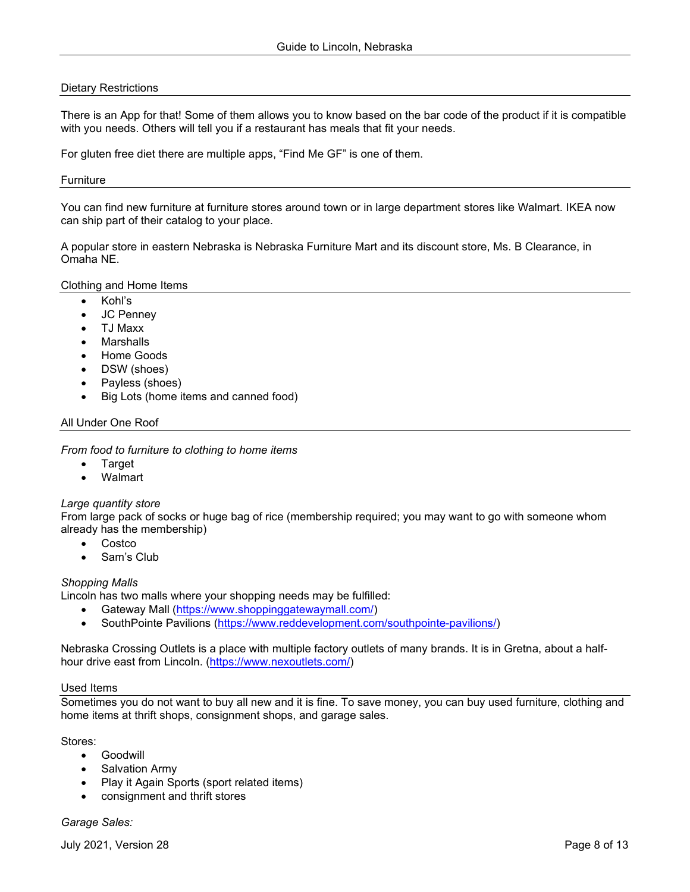## <span id="page-7-0"></span>Dietary Restrictions

There is an App for that! Some of them allows you to know based on the bar code of the product if it is compatible with you needs. Others will tell you if a restaurant has meals that fit your needs.

For gluten free diet there are multiple apps, "Find Me GF" is one of them.

#### <span id="page-7-1"></span>**Furniture**

You can find new furniture at furniture stores around town or in large department stores like Walmart. IKEA now can ship part of their catalog to your place.

A popular store in eastern Nebraska is Nebraska Furniture Mart and its discount store, Ms. B Clearance, in Omaha NE.

#### <span id="page-7-2"></span>Clothing and Home Items

- Kohl's
- JC Penney
- TJ Maxx
- **Marshalls**
- Home Goods
- DSW (shoes)
- Payless (shoes)
- Big Lots (home items and canned food)

## <span id="page-7-3"></span>All Under One Roof

*From food to furniture to clothing to home items*

- Target
- Walmart

## *Large quantity store*

From large pack of socks or huge bag of rice (membership required; you may want to go with someone whom already has the membership)

- Costco
- Sam's Club

## *Shopping Malls*

Lincoln has two malls where your shopping needs may be fulfilled:

- Gateway Mall [\(https://www.shoppinggatewaymall.com/\)](https://www.shoppinggatewaymall.com/)
- SouthPointe Pavilions [\(https://www.reddevelopment.com/southpointe-pavilions/\)](https://www.reddevelopment.com/southpointe-pavilions/)

Nebraska Crossing Outlets is a place with multiple factory outlets of many brands. It is in Gretna, about a half-hour drive east from Lincoln. [\(https://www.nexoutlets.com/\)](https://www.nexoutlets.com/)

## <span id="page-7-4"></span>Used Items

Sometimes you do not want to buy all new and it is fine. To save money, you can buy used furniture, clothing and home items at thrift shops, consignment shops, and garage sales.

Stores:

- Goodwill
- **Salvation Army**
- Play it Again Sports (sport related items)
- consignment and thrift stores

*Garage Sales:*

July 2021, Version 28 Page 8 of 13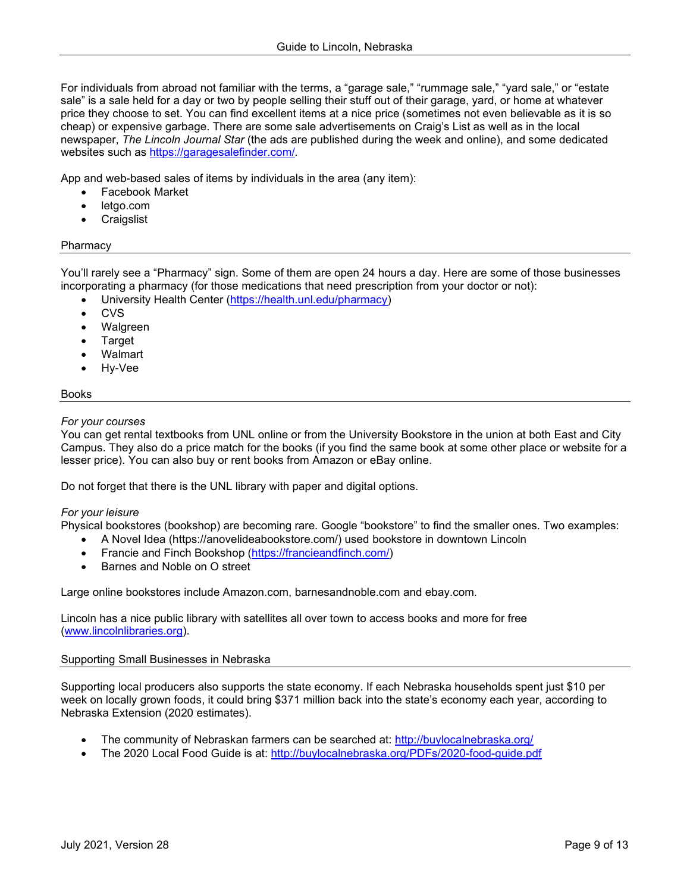For individuals from abroad not familiar with the terms, a "garage sale," "rummage sale," "yard sale," or "estate sale" is a sale held for a day or two by people selling their stuff out of their garage, yard, or home at whatever price they choose to set. You can find excellent items at a nice price (sometimes not even believable as it is so cheap) or expensive garbage. There are some sale advertisements on Craig's List as well as in the local newspaper, *The Lincoln Journal Star* (the ads are published during the week and online), and some dedicated websites such as<https://garagesalefinder.com/>*.*

App and web-based sales of items by individuals in the area (any item):

- Facebook Market
- letgo.com
- **Craigslist**

## <span id="page-8-0"></span>Pharmacy

You'll rarely see a "Pharmacy" sign. Some of them are open 24 hours a day. Here are some of those businesses incorporating a pharmacy (for those medications that need prescription from your doctor or not):

- University Health Center [\(https://health.unl.edu/pharmacy\)](https://health.unl.edu/pharmacy)
- CVS
- Walgreen
- **Target**
- Walmart
- Hy-Vee

## <span id="page-8-1"></span>Books

## *For your courses*

You can get rental textbooks from UNL online or from the University Bookstore in the union at both East and City Campus. They also do a price match for the books (if you find the same book at some other place or website for a lesser price). You can also buy or rent books from Amazon or eBay online.

Do not forget that there is the UNL library with paper and digital options.

## *For your leisure*

Physical bookstores (bookshop) are becoming rare. Google "bookstore" to find the smaller ones. Two examples:

- A Novel Idea (https://anovelideabookstore.com/) used bookstore in downtown Lincoln
- Francie and Finch Bookshop [\(https://francieandfinch.com/\)](https://francieandfinch.com/)
- Barnes and Noble on O street

Large online bookstores include Amazon.com, barnesandnoble.com and ebay.com.

Lincoln has a nice public library with satellites all over town to access books and more for free [\(www.lincolnlibraries.org\)](http://www.lincolnlibraries.org/).

## <span id="page-8-2"></span>Supporting Small Businesses in Nebraska

Supporting local producers also supports the state economy. If each Nebraska households spent just \$10 per week on locally grown foods, it could bring \$371 million back into the state's economy each year, according to Nebraska Extension (2020 estimates).

- The community of Nebraskan farmers can be searched at:<http://buylocalnebraska.org/>
- The 2020 Local Food Guide is at:<http://buylocalnebraska.org/PDFs/2020-food-guide.pdf>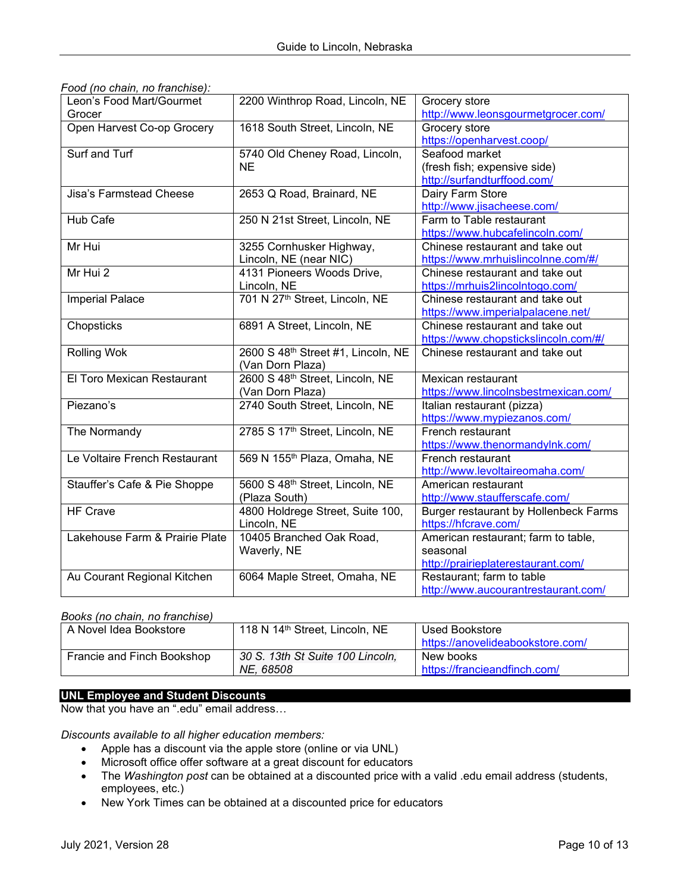| Leon's Food Mart/Gourmet       | 2200 Winthrop Road, Lincoln, NE          | Grocery store                         |
|--------------------------------|------------------------------------------|---------------------------------------|
| Grocer                         |                                          | http://www.leonsgourmetgrocer.com/    |
| Open Harvest Co-op Grocery     | 1618 South Street, Lincoln, NE           | Grocery store                         |
|                                |                                          | https://openharvest.coop/             |
| <b>Surf and Turf</b>           | 5740 Old Cheney Road, Lincoln,           | Seafood market                        |
|                                | <b>NE</b>                                | (fresh fish; expensive side)          |
|                                |                                          | http://surfandturffood.com/           |
| Jisa's Farmstead Cheese        | 2653 Q Road, Brainard, NE                | Dairy Farm Store                      |
|                                |                                          | http://www.jisacheese.com/            |
| Hub Cafe                       | 250 N 21st Street, Lincoln, NE           | Farm to Table restaurant              |
|                                |                                          | https://www.hubcafelincoln.com/       |
| Mr Hui                         | 3255 Cornhusker Highway,                 | Chinese restaurant and take out       |
|                                | Lincoln, NE (near NIC)                   | https://www.mrhuislincolnne.com/#/    |
| Mr Hui 2                       | 4131 Pioneers Woods Drive,               | Chinese restaurant and take out       |
|                                | Lincoln, NE                              | https://mrhuis2lincolntogo.com/       |
| <b>Imperial Palace</b>         | 701 N 27th Street, Lincoln, NE           | Chinese restaurant and take out       |
|                                |                                          | https://www.imperialpalacene.net/     |
| Chopsticks                     | 6891 A Street, Lincoln, NE               | Chinese restaurant and take out       |
|                                |                                          | https://www.chopstickslincoln.com/#/  |
| <b>Rolling Wok</b>             | 2600 S 48th Street #1, Lincoln, NE       | Chinese restaurant and take out       |
|                                | (Van Dorn Plaza)                         |                                       |
| El Toro Mexican Restaurant     | 2600 S 48th Street, Lincoln, NE          | Mexican restaurant                    |
|                                | (Van Dorn Plaza)                         | https://www.lincolnsbestmexican.com/  |
| Piezano's                      | 2740 South Street, Lincoln, NE           | Italian restaurant (pizza)            |
|                                |                                          | https://www.mypiezanos.com/           |
| The Normandy                   | 2785 S 17th Street, Lincoln, NE          | French restaurant                     |
|                                |                                          | https://www.thenormandylnk.com/       |
| Le Voltaire French Restaurant  | 569 N 155 <sup>th</sup> Plaza, Omaha, NE | French restaurant                     |
|                                |                                          | http://www.levoltaireomaha.com/       |
| Stauffer's Cafe & Pie Shoppe   | 5600 S 48th Street, Lincoln, NE          | American restaurant                   |
|                                | (Plaza South)                            | http://www.staufferscafe.com/         |
| <b>HF Crave</b>                | 4800 Holdrege Street, Suite 100,         | Burger restaurant by Hollenbeck Farms |
|                                | Lincoln, NE                              | https://hfcrave.com/                  |
| Lakehouse Farm & Prairie Plate | 10405 Branched Oak Road,                 | American restaurant; farm to table,   |
|                                | Waverly, NE                              | seasonal                              |
|                                |                                          | http://prairieplaterestaurant.com/    |
| Au Courant Regional Kitchen    | 6064 Maple Street, Omaha, NE             | Restaurant; farm to table             |
|                                |                                          | http://www.aucourantrestaurant.com/   |

|  |  | Food (no chain, no franchise): |  |
|--|--|--------------------------------|--|
|  |  |                                |  |

## *Books (no chain, no franchise)*

| A Novel Idea Bookstore     | 118 N 14th Street, Lincoln, NE   | Used Bookstore                   |
|----------------------------|----------------------------------|----------------------------------|
|                            |                                  | https://anovelideabookstore.com/ |
| Francie and Finch Bookshop | 30 S. 13th St Suite 100 Lincoln, | New books                        |
|                            | NE. 68508                        | https://francieandfinch.com/     |

## <span id="page-9-0"></span>**UNL Employee and Student Discounts**

Now that you have an ".edu" email address…

*Discounts available to all higher education members:*

- Apple has a discount via the apple store (online or via UNL)
- Microsoft office offer software at a great discount for educators
- The *Washington post* can be obtained at a discounted price with a valid .edu email address (students, employees, etc.)
- New York Times can be obtained at a discounted price for educators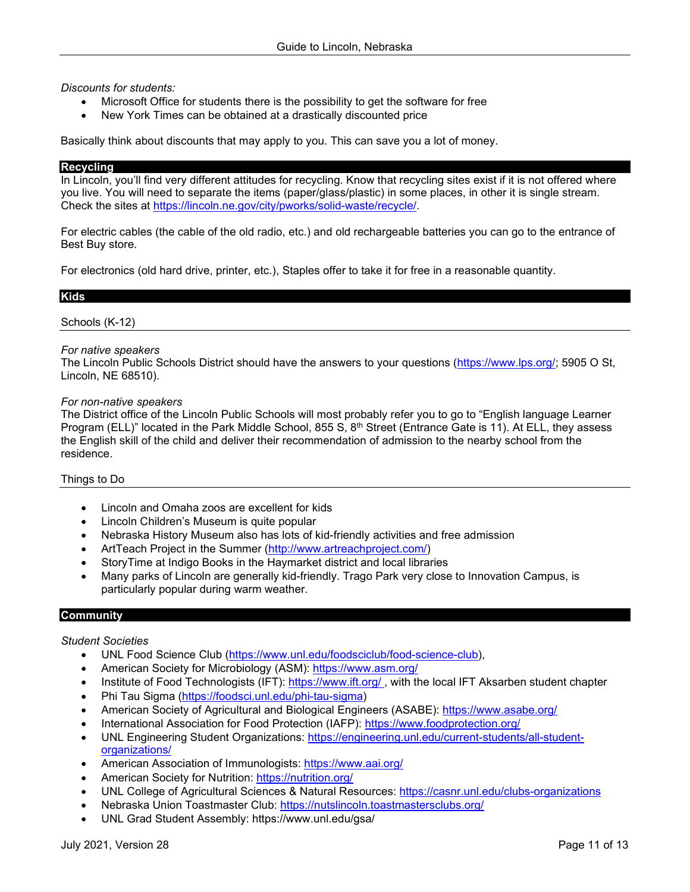## *Discounts for students:*

- Microsoft Office for students there is the possibility to get the software for free
- New York Times can be obtained at a drastically discounted price

Basically think about discounts that may apply to you. This can save you a lot of money.

#### <span id="page-10-0"></span>**Recycling**

In Lincoln, you'll find very different attitudes for recycling. Know that recycling sites exist if it is not offered where you live. You will need to separate the items (paper/glass/plastic) in some places, in other it is single stream. Check the sites at [https://lincoln.ne.gov/city/pworks/solid-waste/recycle/.](https://lincoln.ne.gov/city/pworks/solid-waste/recycle/)

For electric cables (the cable of the old radio, etc.) and old rechargeable batteries you can go to the entrance of Best Buy store.

For electronics (old hard drive, printer, etc.), Staples offer to take it for free in a reasonable quantity.

## <span id="page-10-1"></span>**Kids**

## <span id="page-10-2"></span>Schools (K-12)

## *For native speakers*

The Lincoln Public Schools District should have the answers to your questions [\(https://www.lps.org/;](https://www.lps.org/) 5905 O St, Lincoln, NE 68510).

#### *For non-native speakers*

The District office of the Lincoln Public Schools will most probably refer you to go to "English language Learner Program (ELL)" located in the Park Middle School, 855 S, 8<sup>th</sup> Street (Entrance Gate is 11). At ELL, they assess the English skill of the child and deliver their recommendation of admission to the nearby school from the residence.

## <span id="page-10-3"></span>Things to Do

- Lincoln and Omaha zoos are excellent for kids
- Lincoln Children's Museum is quite popular
- Nebraska History Museum also has lots of kid-friendly activities and free admission
- ArtTeach Project in the Summer [\(http://www.artreachproject.com/\)](http://www.artreachproject.com/)
- StoryTime at Indigo Books in the Haymarket district and local libraries
- Many parks of Lincoln are generally kid-friendly. Trago Park very close to Innovation Campus, is particularly popular during warm weather.

## <span id="page-10-4"></span>**Community**

## *Student Societies*

- UNL Food Science Club [\(https://www.unl.edu/foodsciclub/food-science-club\)](https://www.unl.edu/foodsciclub/food-science-club),
- American Society for Microbiology (ASM):<https://www.asm.org/>
- Institute of Food Technologists (IFT):<https://www.ift.org/>, with the local IFT Aksarben student chapter
- Phi Tau Sigma [\(https://foodsci.unl.edu/phi-tau-sigma\)](https://foodsci.unl.edu/phi-tau-sigma)
- American Society of Agricultural and Biological Engineers (ASABE):<https://www.asabe.org/>
- International Association for Food Protection (IAFP):<https://www.foodprotection.org/>
- UNL Engineering Student Organizations: [https://engineering.unl.edu/current-students/all-student](https://engineering.unl.edu/current-students/all-student-organizations/)[organizations/](https://engineering.unl.edu/current-students/all-student-organizations/)
- American Association of Immunologists:<https://www.aai.org/>
- American Society for Nutrition:<https://nutrition.org/>
- UNL College of Agricultural Sciences & Natural Resources: <https://casnr.unl.edu/clubs-organizations>
- Nebraska Union Toastmaster Club:<https://nutslincoln.toastmastersclubs.org/>
- UNL Grad Student Assembly: https://www.unl.edu/gsa/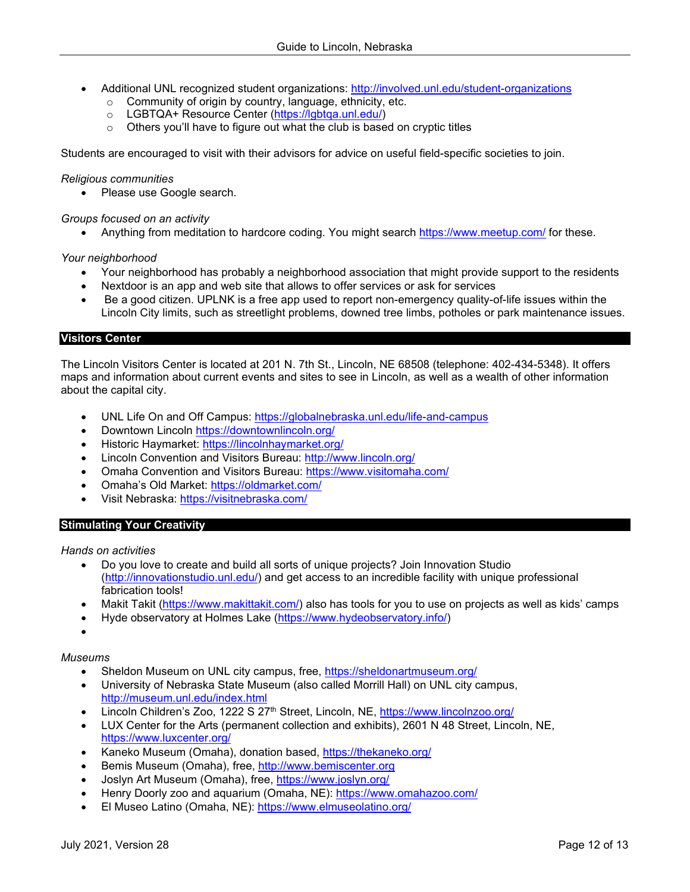- Additional UNL recognized student organizations:<http://involved.unl.edu/student-organizations>
	- o Community of origin by country, language, ethnicity, etc.
	- o LGBTQA+ Resource Center [\(https://lgbtqa.unl.edu/\)](https://lgbtqa.unl.edu/)<br>
	o Others you'll have to figure out what the club is base
	- Others you'll have to figure out what the club is based on cryptic titles

Students are encouraged to visit with their advisors for advice on useful field-specific societies to join.

#### *Religious communities*

• Please use Google search.

## *Groups focused on an activity*

• Anything from meditation to hardcore coding. You might search<https://www.meetup.com/> for these.

## *Your neighborhood*

- Your neighborhood has probably a neighborhood association that might provide support to the residents
- Nextdoor is an app and web site that allows to offer services or ask for services
- Be a good citizen. UPLNK is a free app used to report non-emergency quality-of-life issues within the Lincoln City limits, such as streetlight problems, downed tree limbs, potholes or park maintenance issues.

#### <span id="page-11-0"></span>**Visitors Center**

The Lincoln Visitors Center is located at 201 N. 7th St., Lincoln, NE 68508 (telephone: 402-434-5348). It offers maps and information about current events and sites to see in Lincoln, as well as a wealth of other information about the capital city.

- UNL Life On and Off Campus:<https://globalnebraska.unl.edu/life-and-campus>
- Downtown Lincoln<https://downtownlincoln.org/>
- Historic Haymarket:<https://lincolnhaymarket.org/>
- Lincoln Convention and Visitors Bureau:<http://www.lincoln.org/>
- Omaha Convention and Visitors Bureau:<https://www.visitomaha.com/>
- Omaha's Old Market:<https://oldmarket.com/>
- Visit Nebraska:<https://visitnebraska.com/>

## <span id="page-11-1"></span>**Stimulating Your Creativity**

#### *Hands on activities*

- Do you love to create and build all sorts of unique projects? Join Innovation Studio [\(http://innovationstudio.unl.edu/\)](http://innovationstudio.unl.edu/) and get access to an incredible facility with unique professional fabrication tools!
- Makit Takit [\(https://www.makittakit.com/\)](https://www.makittakit.com/) also has tools for you to use on projects as well as kids' camps
- Hyde observatory at Holmes Lake [\(https://www.hydeobservatory.info/\)](https://www.hydeobservatory.info/)

# •

# *Museums*

- Sheldon Museum on UNL city campus, free, <https://sheldonartmuseum.org/>
- University of Nebraska State Museum (also called Morrill Hall) on UNL city campus, <http://museum.unl.edu/index.html>
- Lincoln Children's Zoo, 1222 S 27<sup>th</sup> Street, Lincoln, NE,<https://www.lincolnzoo.org/>
- LUX Center for the Arts (permanent collection and exhibits), 2601 N 48 Street, Lincoln, NE, <https://www.luxcenter.org/>
- Kaneko Museum (Omaha), donation based,<https://thekaneko.org/>
- Bemis Museum (Omaha), free, [http://www.bemiscenter.org](http://www.bemiscenter.org/)
- Joslyn Art Museum (Omaha), free,<https://www.joslyn.org/>
- Henry Doorly zoo and aquarium (Omaha, NE):<https://www.omahazoo.com/>
- El Museo Latino (Omaha, NE):<https://www.elmuseolatino.org/>